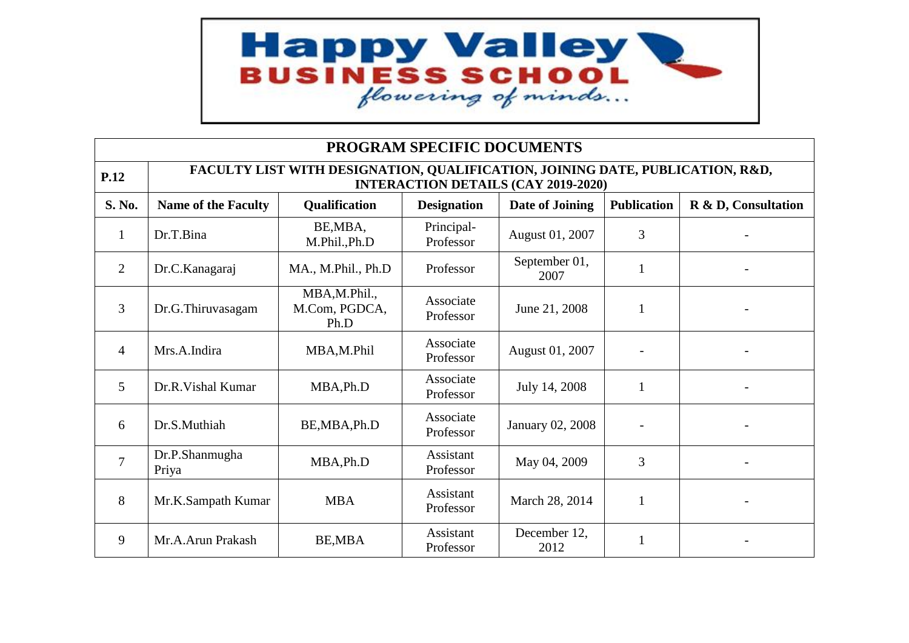

| PROGRAM SPECIFIC DOCUMENTS |                                                                                                                             |                                       |                         |                       |              |  |  |  |
|----------------------------|-----------------------------------------------------------------------------------------------------------------------------|---------------------------------------|-------------------------|-----------------------|--------------|--|--|--|
| <b>P.12</b>                | FACULTY LIST WITH DESIGNATION, QUALIFICATION, JOINING DATE, PUBLICATION, R&D,<br><b>INTERACTION DETAILS (CAY 2019-2020)</b> |                                       |                         |                       |              |  |  |  |
| S. No.                     | <b>Name of the Faculty</b>                                                                                                  | R & D, Consultation                   |                         |                       |              |  |  |  |
| 1                          | Dr.T.Bina                                                                                                                   | BE, MBA,<br>M.Phil., Ph.D             | Principal-<br>Professor | August 01, 2007       | 3            |  |  |  |
| $\overline{2}$             | Dr.C.Kanagaraj                                                                                                              | MA., M.Phil., Ph.D                    | Professor               | September 01,<br>2007 | $\mathbf{1}$ |  |  |  |
| 3                          | Dr.G.Thiruvasagam                                                                                                           | MBA,M.Phil.,<br>M.Com, PGDCA,<br>Ph.D | Associate<br>Professor  | June 21, 2008         | $\mathbf{1}$ |  |  |  |
| $\overline{4}$             | Mrs.A.Indira                                                                                                                | MBA,M.Phil                            | Associate<br>Professor  | August 01, 2007       |              |  |  |  |
| 5                          | Dr.R.Vishal Kumar                                                                                                           | MBA, Ph.D                             | Associate<br>Professor  | July 14, 2008         | 1            |  |  |  |
| 6                          | Dr.S.Muthiah                                                                                                                | BE, MBA, Ph.D                         | Associate<br>Professor  | January 02, 2008      |              |  |  |  |
| 7                          | Dr.P.Shanmugha<br>Priya                                                                                                     | MBA, Ph.D                             | Assistant<br>Professor  | May 04, 2009          | 3            |  |  |  |
| 8                          | Mr.K.Sampath Kumar                                                                                                          | <b>MBA</b>                            | Assistant<br>Professor  | March 28, 2014        | $\mathbf{1}$ |  |  |  |
| 9                          | Mr.A.Arun Prakash                                                                                                           | <b>BE,MBA</b>                         | Assistant<br>Professor  | December 12,<br>2012  | $\mathbf{1}$ |  |  |  |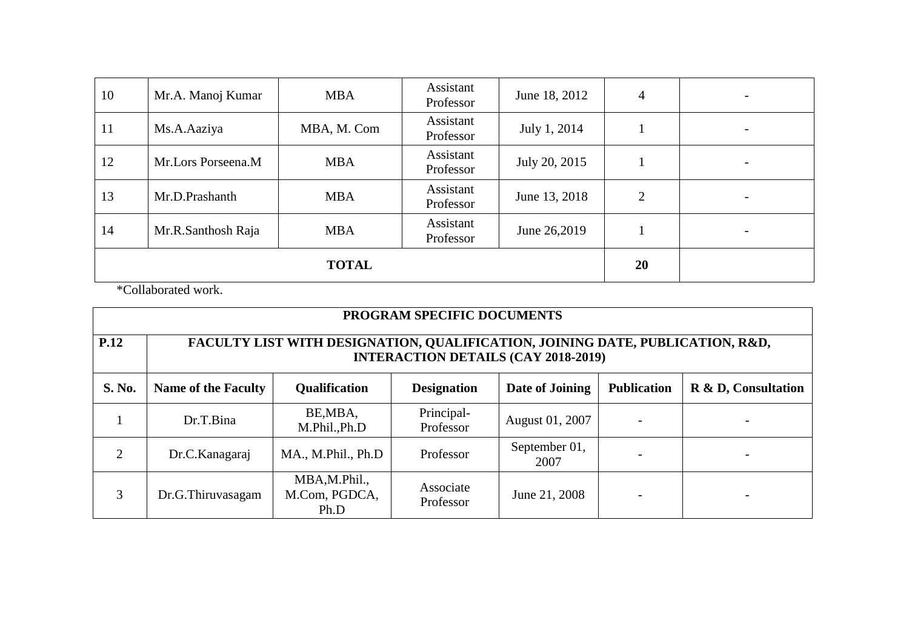| 10           | Mr.A. Manoj Kumar  | <b>MBA</b>  | Assistant<br>Professor | June 18, 2012 | $\overline{4}$ | $\overline{\phantom{a}}$ |
|--------------|--------------------|-------------|------------------------|---------------|----------------|--------------------------|
| 11           | Ms.A.Aaziya        | MBA, M. Com | Assistant<br>Professor | July 1, 2014  |                |                          |
| 12           | Mr.Lors Porseena.M | <b>MBA</b>  | Assistant<br>Professor | July 20, 2015 |                |                          |
| 13           | Mr.D.Prashanth     | <b>MBA</b>  | Assistant<br>Professor | June 13, 2018 | $\overline{2}$ | $\overline{\phantom{0}}$ |
| 14           | Mr.R.Santhosh Raja | <b>MBA</b>  | Assistant<br>Professor | June 26,2019  |                |                          |
| <b>TOTAL</b> |                    |             |                        |               | 20             |                          |

\*Collaborated work.

| PROGRAM SPECIFIC DOCUMENTS |                                                                                                                             |                                        |                         |                       |  |  |  |  |
|----------------------------|-----------------------------------------------------------------------------------------------------------------------------|----------------------------------------|-------------------------|-----------------------|--|--|--|--|
| <b>P.12</b>                | FACULTY LIST WITH DESIGNATION, QUALIFICATION, JOINING DATE, PUBLICATION, R&D,<br><b>INTERACTION DETAILS (CAY 2018-2019)</b> |                                        |                         |                       |  |  |  |  |
| <b>S. No.</b>              | <b>Name of the Faculty</b>                                                                                                  | <b>Publication</b>                     | R & D, Consultation     |                       |  |  |  |  |
|                            | Dr.T.Bina                                                                                                                   | BE, MBA,<br>M.Phil.,Ph.D               | Principal-<br>Professor | August 01, 2007       |  |  |  |  |
| 2                          | Dr.C.Kanagaraj                                                                                                              | MA., M.Phil., Ph.D                     | Professor               | September 01,<br>2007 |  |  |  |  |
| 3                          | Dr.G.Thiruvasagam                                                                                                           | MBA, M.Phil.,<br>M.Com, PGDCA,<br>Ph.D | Associate<br>Professor  | June 21, 2008         |  |  |  |  |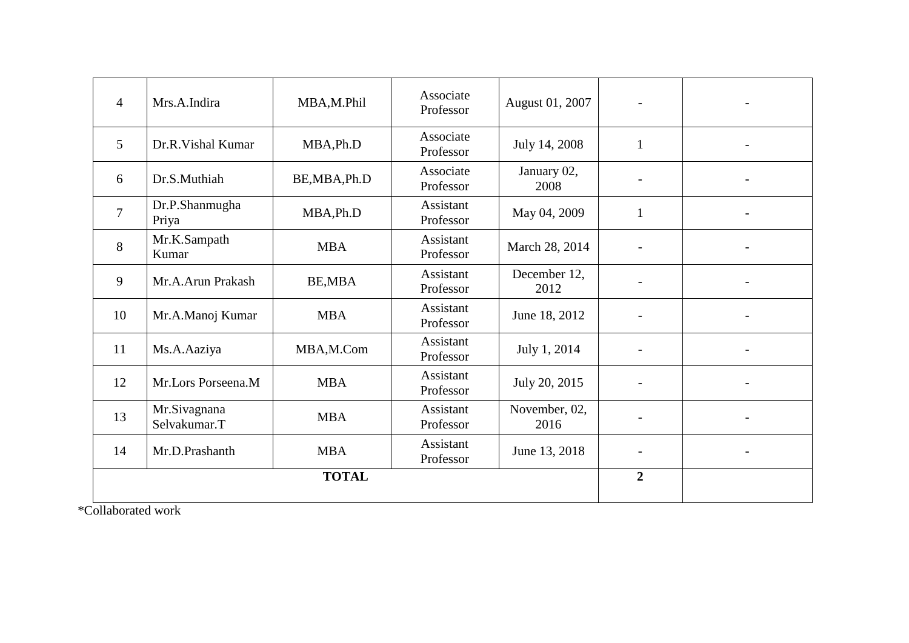| $\overline{4}$ | Mrs.A.Indira                 | MBA,M.Phil    | Associate<br>Professor | August 01, 2007       |                |  |
|----------------|------------------------------|---------------|------------------------|-----------------------|----------------|--|
| $\overline{5}$ | Dr.R.Vishal Kumar            | MBA, Ph.D     | Associate<br>Professor | July 14, 2008         | $\mathbf{1}$   |  |
| 6              | Dr.S.Muthiah                 | BE, MBA, Ph.D | Associate<br>Professor | January 02,<br>2008   |                |  |
| $\overline{7}$ | Dr.P.Shanmugha<br>Priya      | MBA, Ph.D     | Assistant<br>Professor | May 04, 2009          | $\mathbf{1}$   |  |
| 8              | Mr.K.Sampath<br>Kumar        | <b>MBA</b>    | Assistant<br>Professor | March 28, 2014        |                |  |
| 9              | Mr.A.Arun Prakash            | BE, MBA       | Assistant<br>Professor | December 12,<br>2012  |                |  |
| 10             | Mr.A.Manoj Kumar             | <b>MBA</b>    | Assistant<br>Professor | June 18, 2012         |                |  |
| 11             | Ms.A.Aaziya                  | MBA,M.Com     | Assistant<br>Professor | July 1, 2014          |                |  |
| 12             | Mr.Lors Porseena.M           | <b>MBA</b>    | Assistant<br>Professor | July 20, 2015         |                |  |
| 13             | Mr.Sivagnana<br>Selvakumar.T | <b>MBA</b>    | Assistant<br>Professor | November, 02,<br>2016 |                |  |
| 14             | Mr.D.Prashanth               | <b>MBA</b>    | Assistant<br>Professor | June 13, 2018         | $\blacksquare$ |  |
|                | <b>TOTAL</b>                 |               |                        |                       |                |  |

\*Collaborated work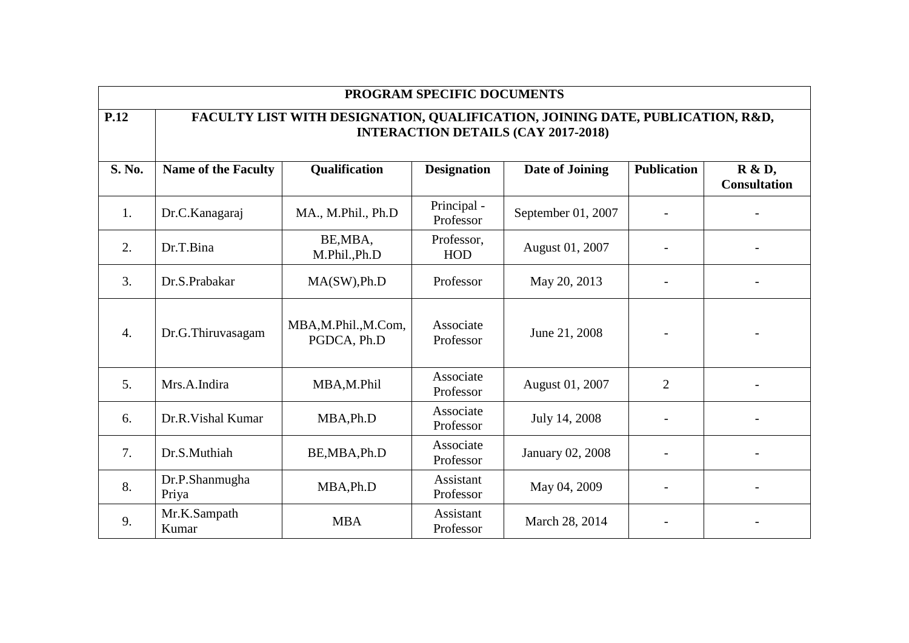| PROGRAM SPECIFIC DOCUMENTS |                                                                                                                             |                                   |                          |                    |                    |                                      |  |  |
|----------------------------|-----------------------------------------------------------------------------------------------------------------------------|-----------------------------------|--------------------------|--------------------|--------------------|--------------------------------------|--|--|
| <b>P.12</b>                | FACULTY LIST WITH DESIGNATION, QUALIFICATION, JOINING DATE, PUBLICATION, R&D,<br><b>INTERACTION DETAILS (CAY 2017-2018)</b> |                                   |                          |                    |                    |                                      |  |  |
| S. No.                     | <b>Name of the Faculty</b>                                                                                                  | Qualification                     | <b>Designation</b>       | Date of Joining    | <b>Publication</b> | <b>R</b> & D,<br><b>Consultation</b> |  |  |
| 1.                         | Dr.C.Kanagaraj                                                                                                              | MA., M.Phil., Ph.D                | Principal -<br>Professor | September 01, 2007 |                    |                                      |  |  |
| 2.                         | Dr.T.Bina                                                                                                                   | BE, MBA,<br>M.Phil.,Ph.D          | Professor,<br><b>HOD</b> | August 01, 2007    |                    |                                      |  |  |
| 3.                         | Dr.S.Prabakar                                                                                                               | MA(SW), Ph.D                      | Professor                | May 20, 2013       |                    |                                      |  |  |
| $\overline{4}$ .           | Dr.G.Thiruvasagam                                                                                                           | MBA,M.Phil.,M.Com,<br>PGDCA, Ph.D | Associate<br>Professor   | June 21, 2008      |                    |                                      |  |  |
| 5.                         | Mrs.A.Indira                                                                                                                | MBA,M.Phil                        | Associate<br>Professor   | August 01, 2007    | $\overline{2}$     |                                      |  |  |
| 6.                         | Dr.R. Vishal Kumar                                                                                                          | MBA, Ph.D                         | Associate<br>Professor   | July 14, 2008      |                    |                                      |  |  |
| 7.                         | Dr.S.Muthiah                                                                                                                | BE, MBA, Ph.D                     | Associate<br>Professor   | January 02, 2008   |                    |                                      |  |  |
| 8.                         | Dr.P.Shanmugha<br>Priya                                                                                                     | MBA, Ph.D                         | Assistant<br>Professor   | May 04, 2009       |                    |                                      |  |  |
| 9.                         | Mr.K.Sampath<br>Kumar                                                                                                       | <b>MBA</b>                        | Assistant<br>Professor   | March 28, 2014     |                    |                                      |  |  |